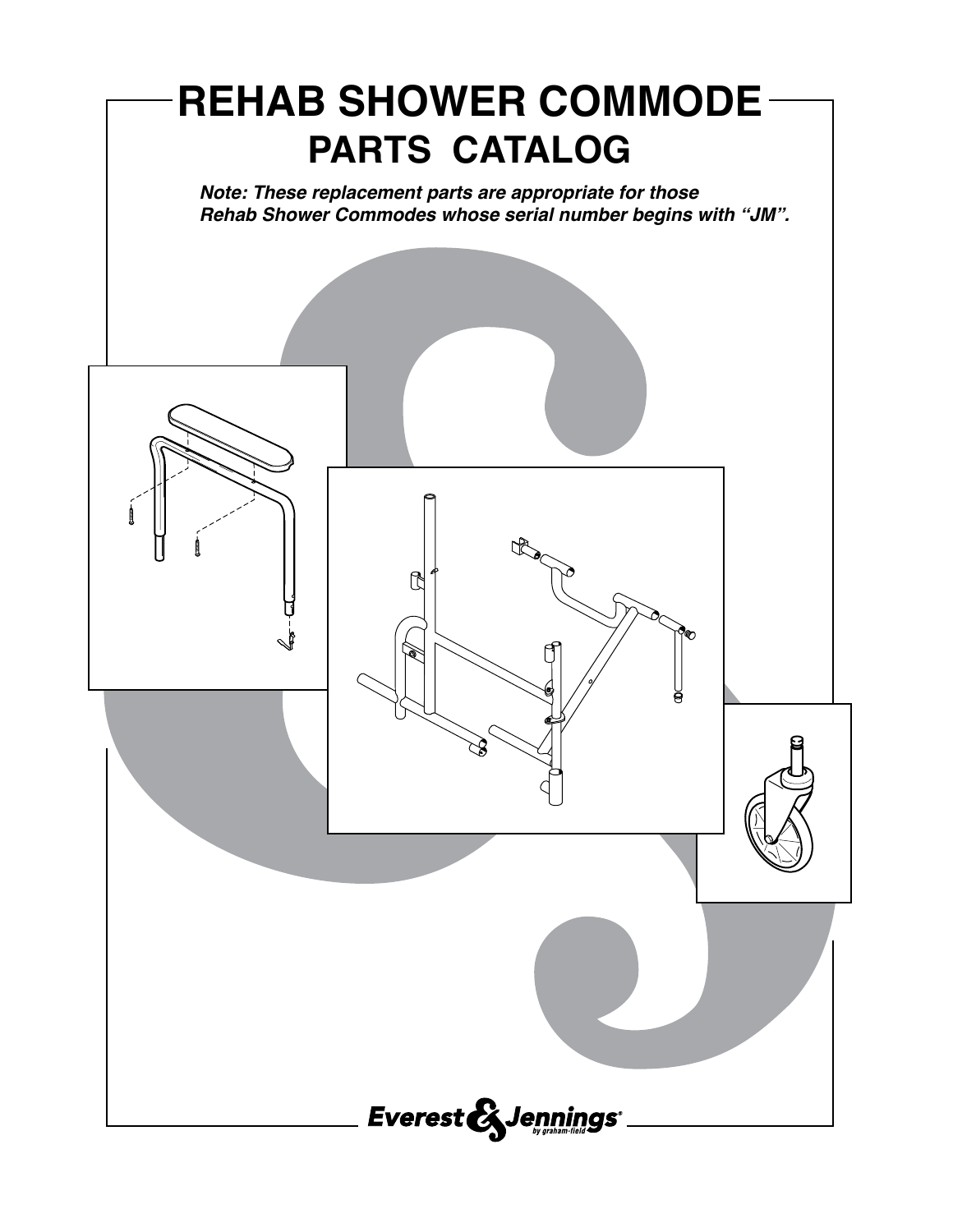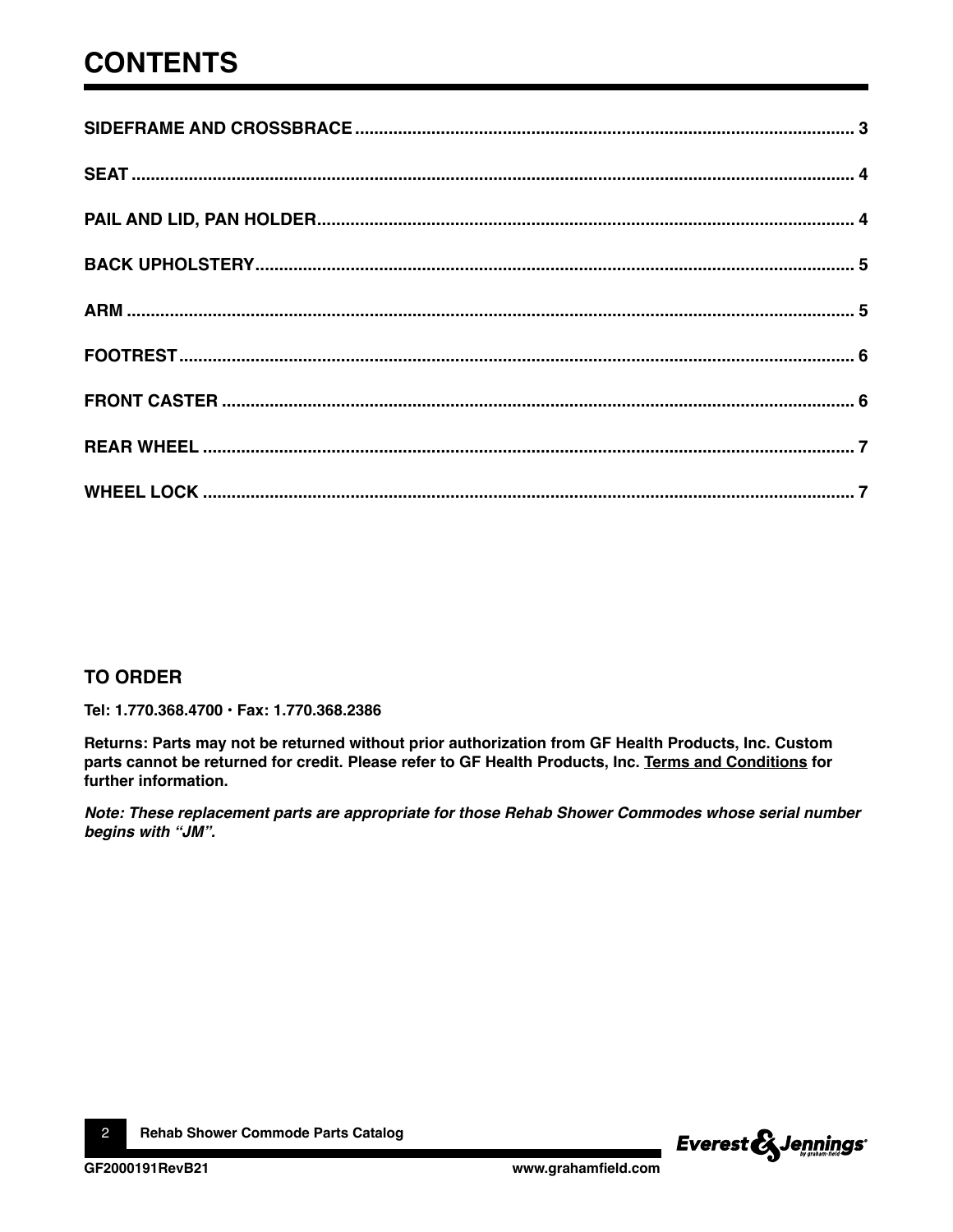## **CONTENTS**

#### **TO ORDER**

Tel: 1.770.368.4700 · Fax: 1.770.368.2386

Returns: Parts may not be returned without prior authorization from GF Health Products, Inc. Custom parts cannot be returned for credit. Please refer to GF Health Products, Inc. Terms and Conditions for further information.

Note: These replacement parts are appropriate for those Rehab Shower Commodes whose serial number begins with "JM".

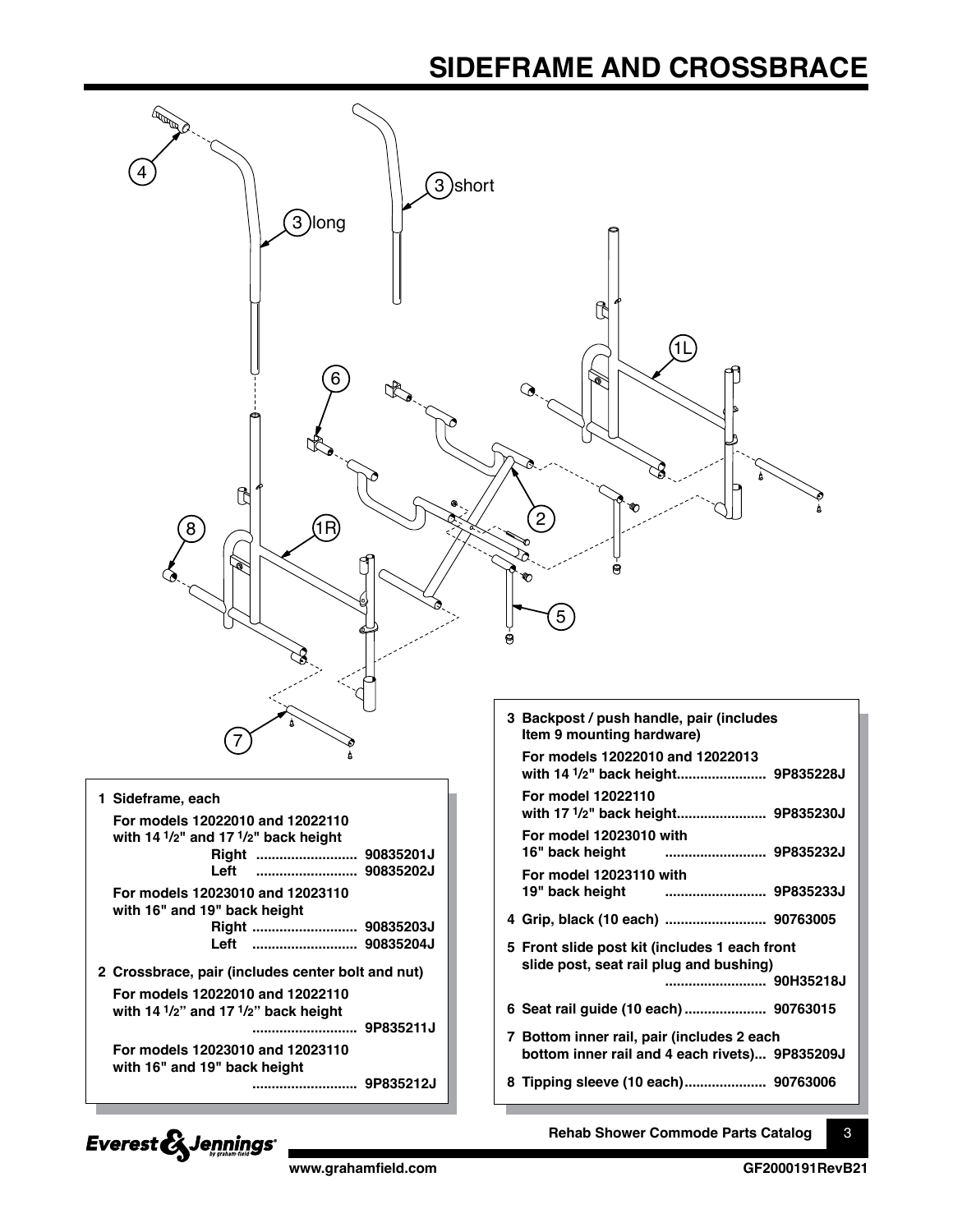### **SIDEFRAME AND CROSSBRACE**

<span id="page-2-0"></span>

Everest & Jennings®

**www.grahamfield.com GF2000191RevB21**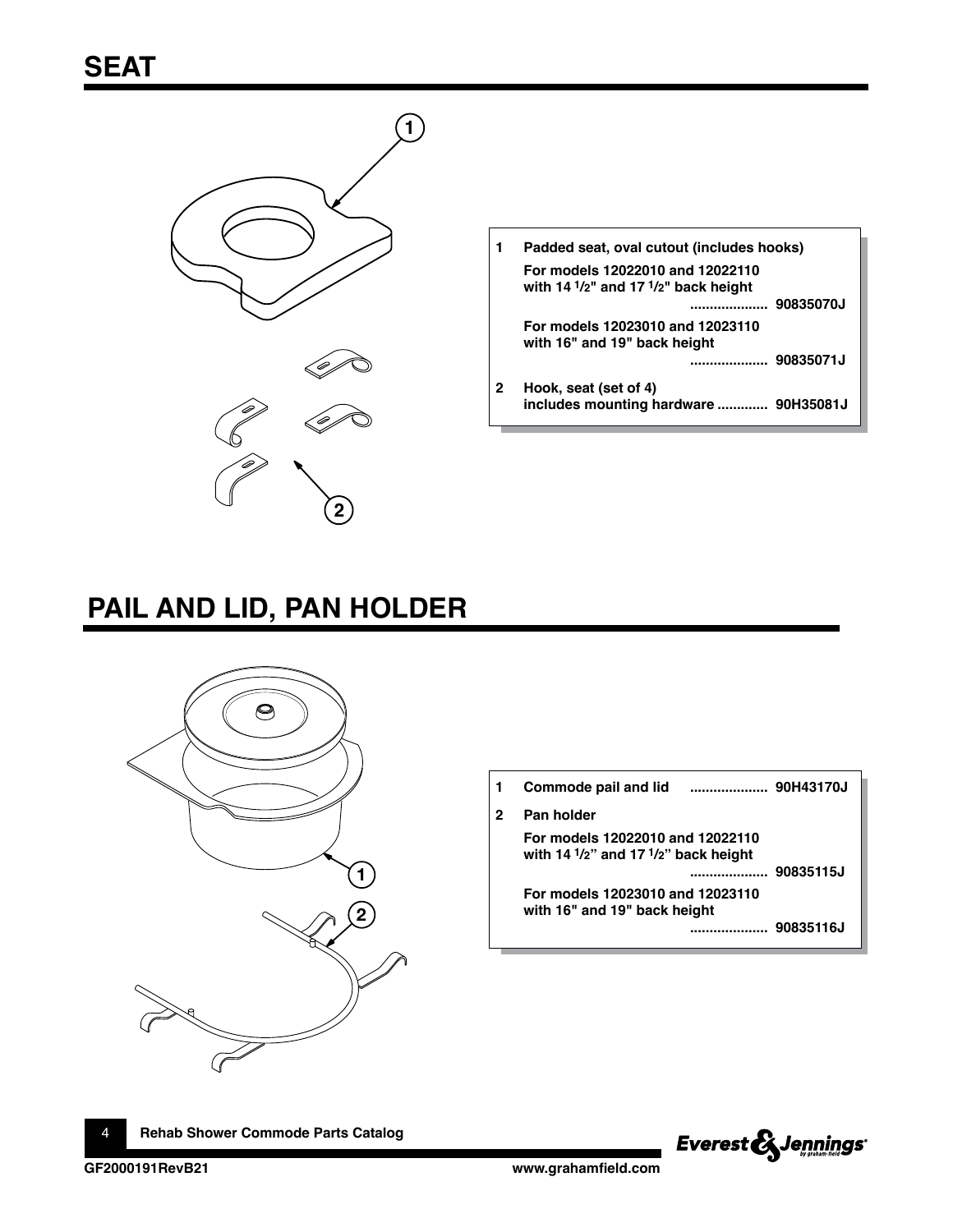<span id="page-3-0"></span>

|   | Padded seat, oval cutout (includes hooks)                                                                       |
|---|-----------------------------------------------------------------------------------------------------------------|
|   | For models 12022010 and 12022110<br>with 14 $\frac{1}{2}$ " and 17 $\frac{1}{2}$ " back height<br>90835070J<br> |
|   | For models 12023010 and 12023110<br>with 16" and 19" back height<br>90835071J<br>                               |
| 2 | Hook, seat (set of 4)<br>includes mounting hardware  90H35081J                                                  |

# **PAIL AND LID, PAN HOLDER**



|   | Commode pail and lid<br>                                                                       | 90H43170J |
|---|------------------------------------------------------------------------------------------------|-----------|
| 2 | Pan holder                                                                                     |           |
|   | For models 12022010 and 12022110<br>with 14 $\frac{1}{2}$ " and 17 $\frac{1}{2}$ " back height | 90835115J |
|   | For models 12023010 and 12023110<br>with 16" and 19" back height                               | 90835116J |



4 **Rehab Shower Commode Parts Catalog**

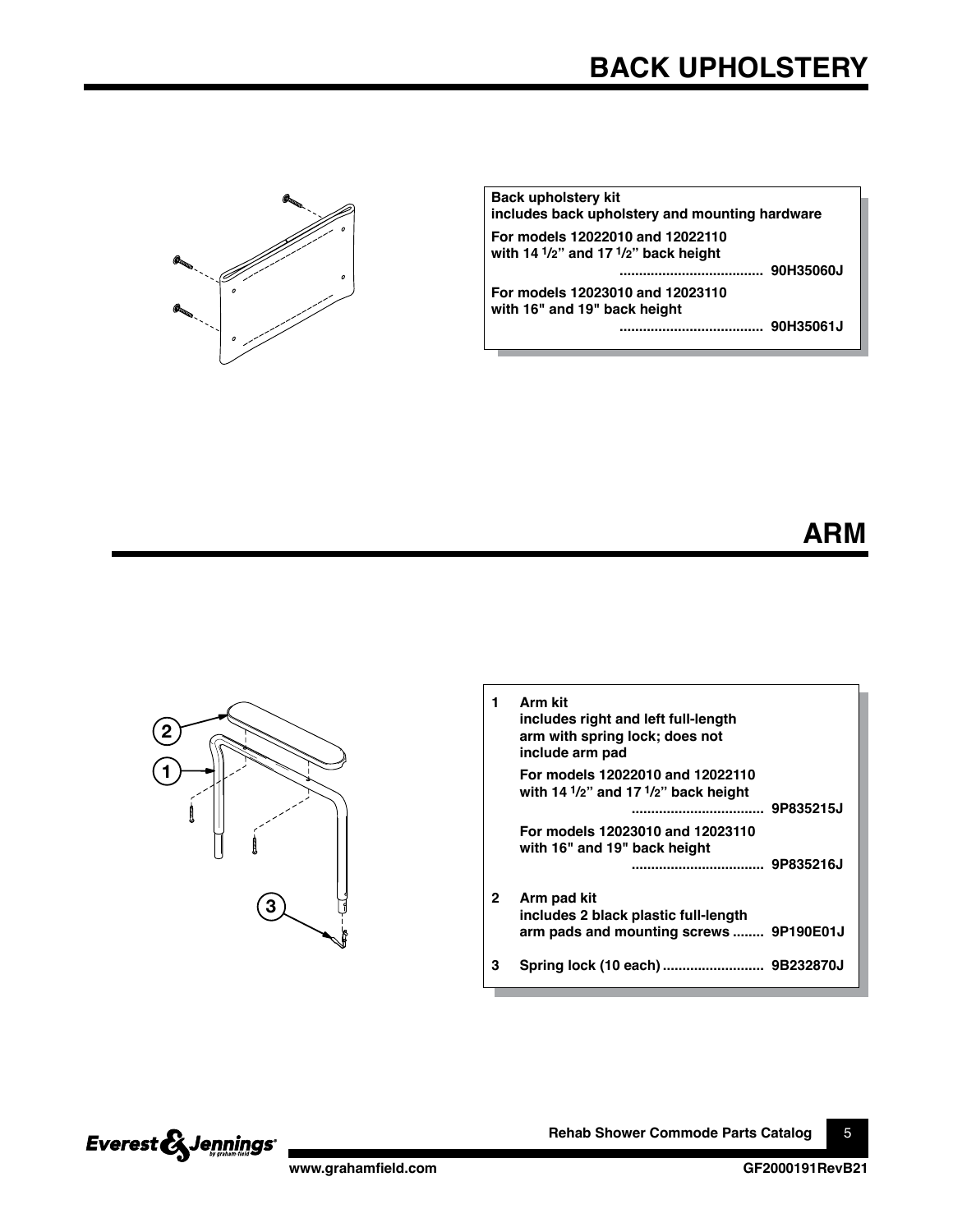<span id="page-4-0"></span>

| <b>Back upholstery kit</b><br>includes back upholstery and mounting hardware                                |  |
|-------------------------------------------------------------------------------------------------------------|--|
| For models 12022010 and 12022110<br>with 14 $\frac{1}{2}$ " and 17 $\frac{1}{2}$ " back height<br>90H35060J |  |
| For models 12023010 and 12023110<br>with 16" and 19" back height<br>90H35061J<br>                           |  |





|   | Arm kit<br>includes right and left full-length<br>arm with spring lock; does not<br>include arm pad         |  |
|---|-------------------------------------------------------------------------------------------------------------|--|
|   | For models 12022010 and 12022110<br>with 14 $\frac{1}{2}$ " and 17 $\frac{1}{2}$ " back height<br>9P835215J |  |
|   | For models 12023010 and 12023110<br>with 16" and 19" back height<br>9P835216J                               |  |
| 2 | Arm pad kit<br>includes 2 black plastic full-length<br>arm pads and mounting screws  9P190E01J              |  |
| з |                                                                                                             |  |



**Rehab Shower Commode Parts Catalog** 5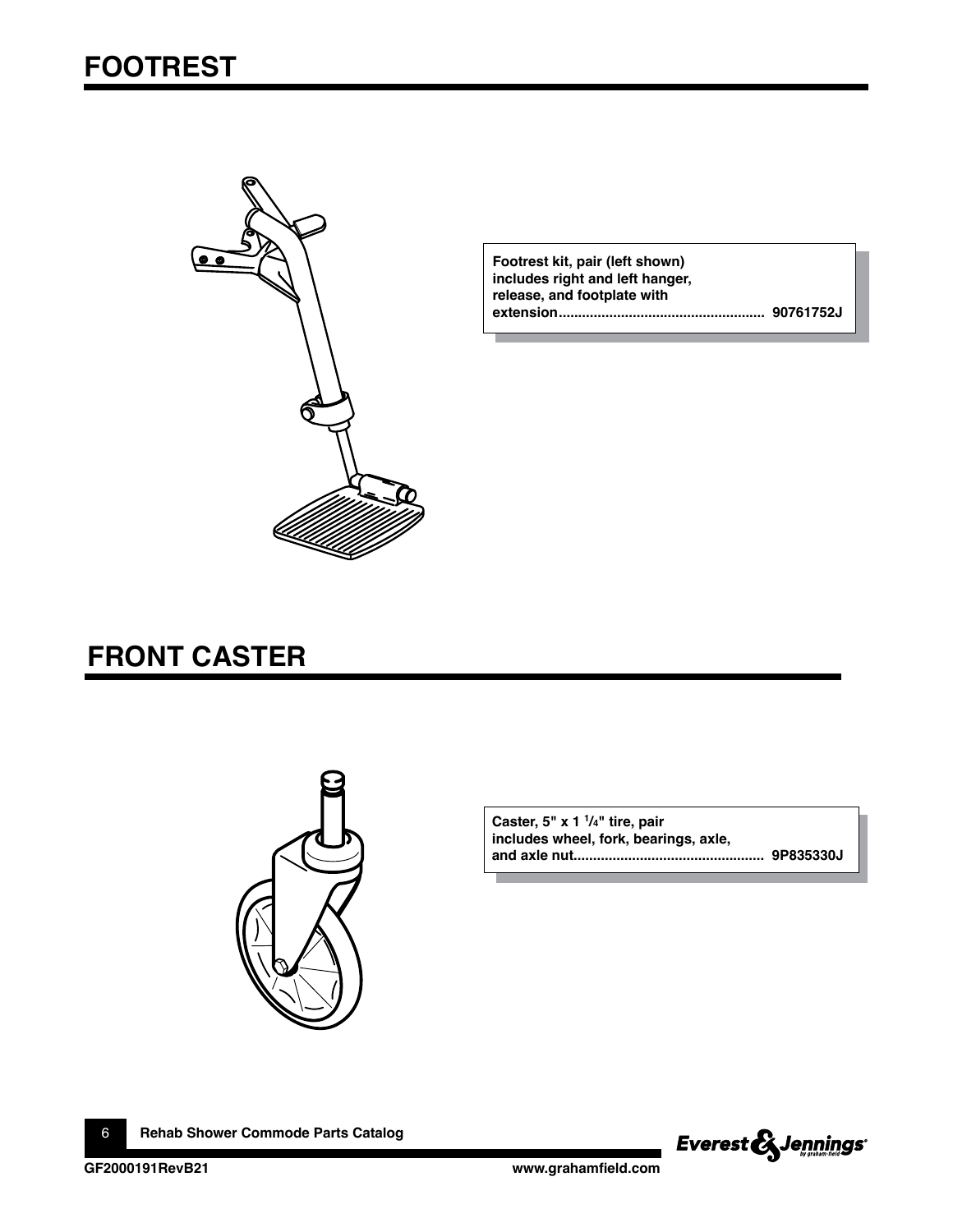<span id="page-5-0"></span>

**Footrest kit, pair (left shown) includes right and left hanger, release, and footplate with extension..................................................... 90761752J**

### **FRONT CASTER**



**Caster, 5" x 1 1/4" tire, pair includes wheel, fork, bearings, axle, and axle nut................................................. 9P835330J**

6 **Rehab Shower Commode Parts Catalog**

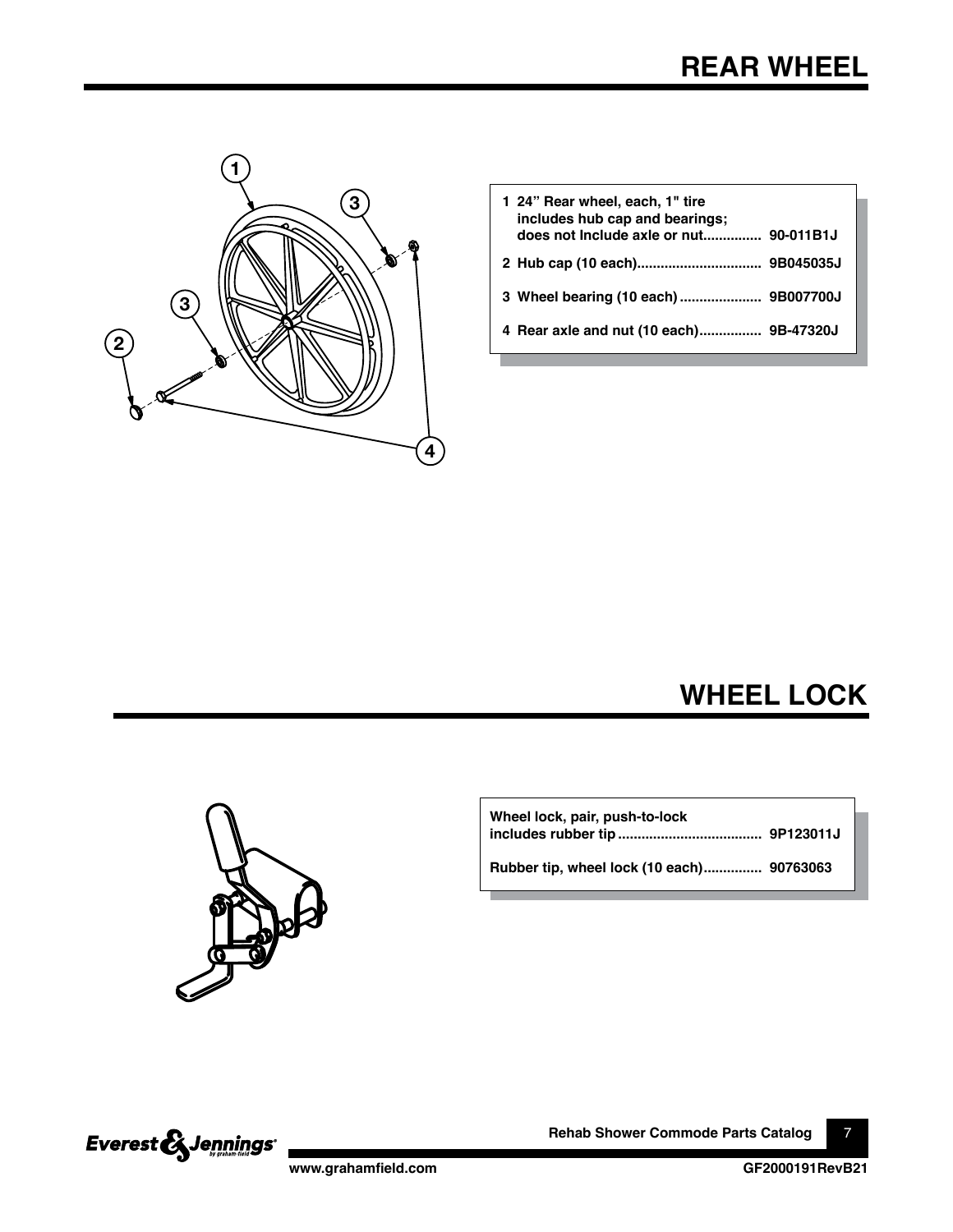<span id="page-6-0"></span>

| 1 24" Rear wheel, each, 1" tire<br>includes hub cap and bearings; |
|-------------------------------------------------------------------|
|                                                                   |
|                                                                   |
| 4 Rear axle and nut (10 each) 9B-47320J                           |
|                                                                   |

**WHEEL LOCK**



**Wheel lock, pair, push-to-lock includes rubber tip ..................................... 9P123011J**

**Rubber tip, wheel lock (10 each)............... 90763063**



**Rehab Shower Commode Parts Catalog** 7

**www.grahamfield.com GF2000191RevB21**